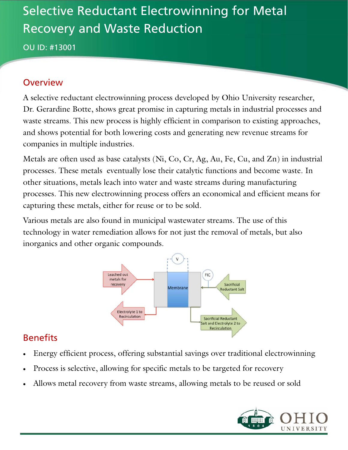# Selective Reductant Electrowinning for Metal Recovery and Waste Reduction

OU ID: #13001

#### **Overview**

A selective reductant electrowinning process developed by Ohio University researcher, Dr. Gerardine Botte, shows great promise in capturing metals in industrial processes and waste streams. This new process is highly efficient in comparison to existing approaches, and shows potential for both lowering costs and generating new revenue streams for companies in multiple industries.

Metals are often used as base catalysts (Ni, Co, Cr, Ag, Au, Fe, Cu, and Zn) in industrial processes. These metals eventually lose their catalytic functions and become waste. In other situations, metals leach into water and waste streams during manufacturing processes. This new electrowinning process offers an economical and efficient means for capturing these metals, either for reuse or to be sold.

Various metals are also found in municipal wastewater streams. The use of this technology in water remediation allows for not just the removal of metals, but also inorganics and other organic compounds.



### **Benefits**

- Energy efficient process, offering substantial savings over traditional electrowinning
- Process is selective, allowing for specific metals to be targeted for recovery
- Allows metal recovery from waste streams, allowing metals to be reused or sold